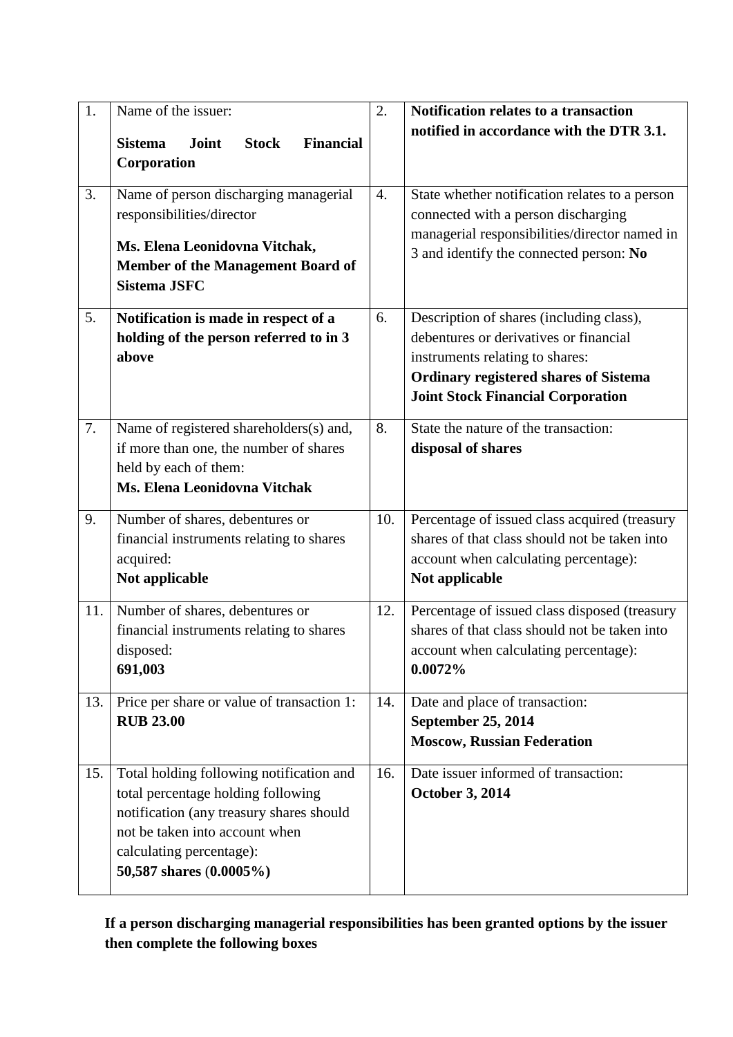| 1.<br>3. | Name of the issuer:<br>Joint<br><b>Stock</b><br><b>Financial</b><br><b>Sistema</b><br>Corporation<br>Name of person discharging managerial<br>responsibilities/director<br>Ms. Elena Leonidovna Vitchak,<br><b>Member of the Management Board of</b> | 2.<br>4. | Notification relates to a transaction<br>notified in accordance with the DTR 3.1.<br>State whether notification relates to a person<br>connected with a person discharging<br>managerial responsibilities/director named in<br>3 and identify the connected person: No |
|----------|------------------------------------------------------------------------------------------------------------------------------------------------------------------------------------------------------------------------------------------------------|----------|------------------------------------------------------------------------------------------------------------------------------------------------------------------------------------------------------------------------------------------------------------------------|
| 5.       | <b>Sistema JSFC</b><br>Notification is made in respect of a<br>holding of the person referred to in 3<br>above                                                                                                                                       | 6.       | Description of shares (including class),<br>debentures or derivatives or financial<br>instruments relating to shares:<br><b>Ordinary registered shares of Sistema</b><br><b>Joint Stock Financial Corporation</b>                                                      |
| 7.       | Name of registered shareholders(s) and,<br>if more than one, the number of shares<br>held by each of them:<br>Ms. Elena Leonidovna Vitchak                                                                                                           | 8.       | State the nature of the transaction:<br>disposal of shares                                                                                                                                                                                                             |
| 9.       | Number of shares, debentures or<br>financial instruments relating to shares<br>acquired:<br>Not applicable                                                                                                                                           | 10.      | Percentage of issued class acquired (treasury<br>shares of that class should not be taken into<br>account when calculating percentage):<br>Not applicable                                                                                                              |
| 11.      | Number of shares, debentures or<br>financial instruments relating to shares<br>disposed:<br>691,003                                                                                                                                                  | 12.      | Percentage of issued class disposed (treasury<br>shares of that class should not be taken into<br>account when calculating percentage):<br>0.0072%                                                                                                                     |
| 13.      | Price per share or value of transaction 1:<br><b>RUB 23.00</b>                                                                                                                                                                                       | 14.      | Date and place of transaction:<br><b>September 25, 2014</b><br><b>Moscow, Russian Federation</b>                                                                                                                                                                       |
| 15.      | Total holding following notification and<br>total percentage holding following<br>notification (any treasury shares should<br>not be taken into account when<br>calculating percentage):<br>50,587 shares (0.0005%)                                  | 16.      | Date issuer informed of transaction:<br><b>October 3, 2014</b>                                                                                                                                                                                                         |

**If a person discharging managerial responsibilities has been granted options by the issuer then complete the following boxes**